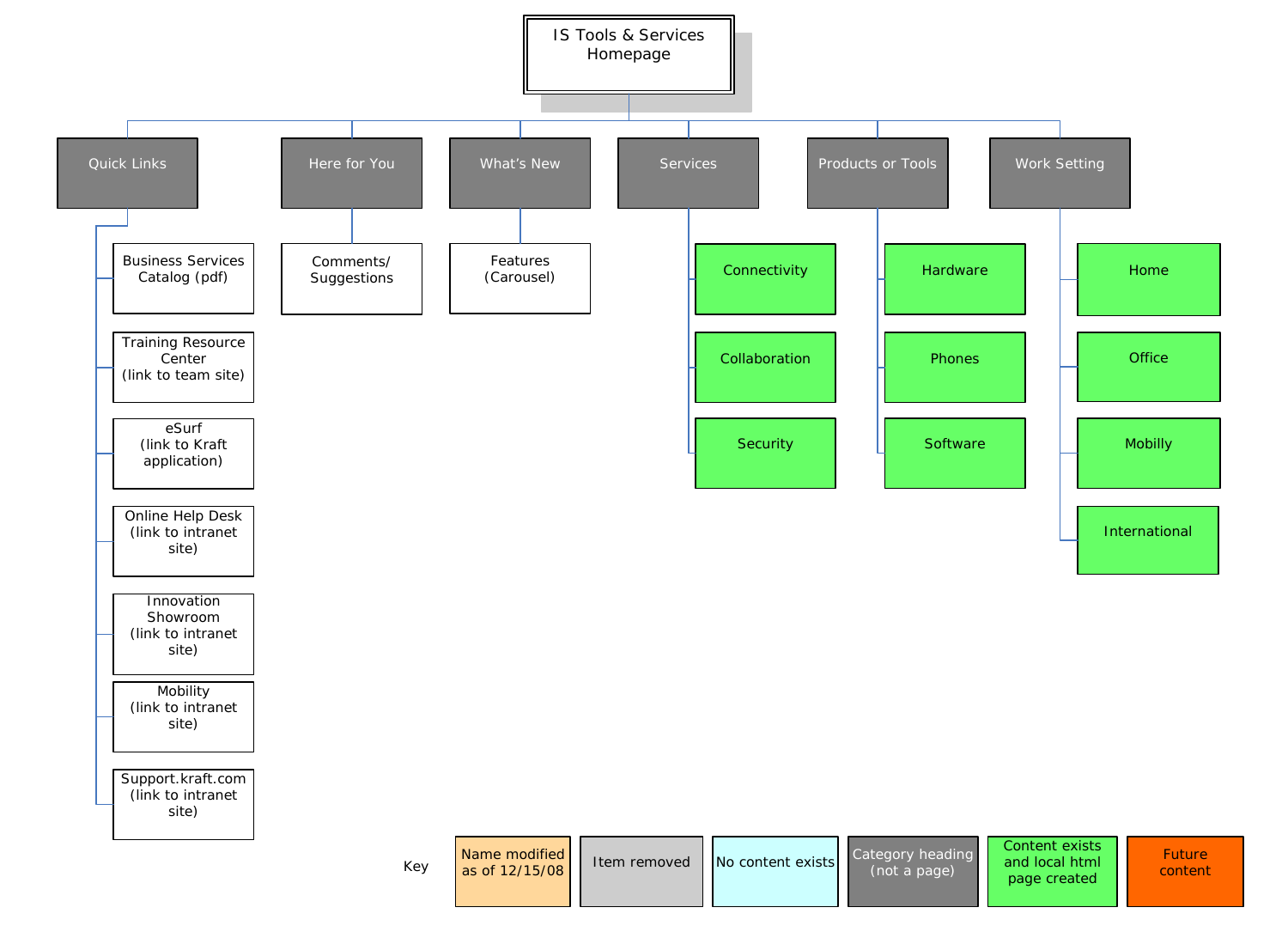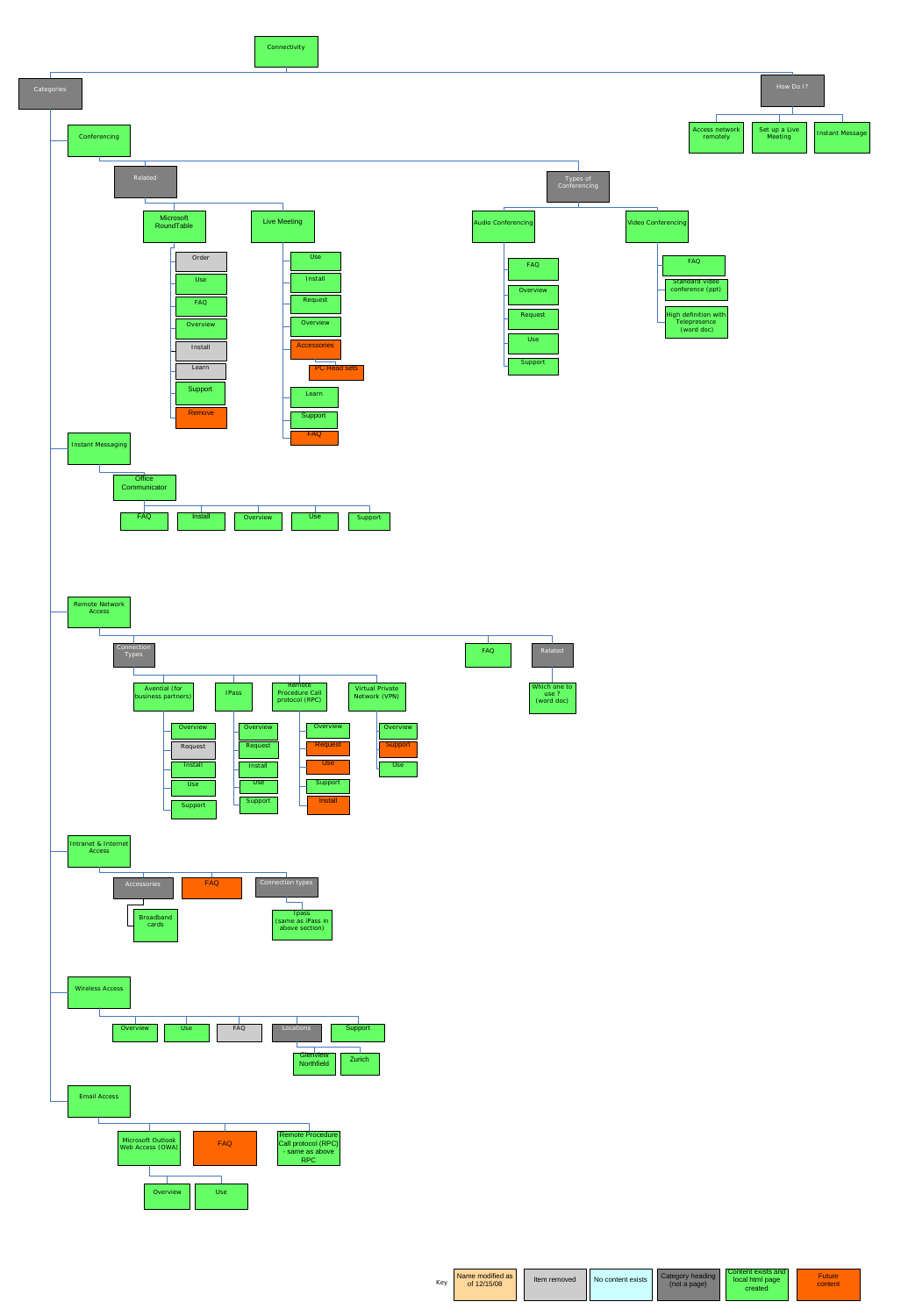Connectivity



| Kev | Name modified as<br>of 12/15/08 |  | Item removed | No content exists |  | Category heading<br>(not a page) |  | Content exists and I<br>local html page<br>created |  | <b>Future</b><br>content |
|-----|---------------------------------|--|--------------|-------------------|--|----------------------------------|--|----------------------------------------------------|--|--------------------------|
|-----|---------------------------------|--|--------------|-------------------|--|----------------------------------|--|----------------------------------------------------|--|--------------------------|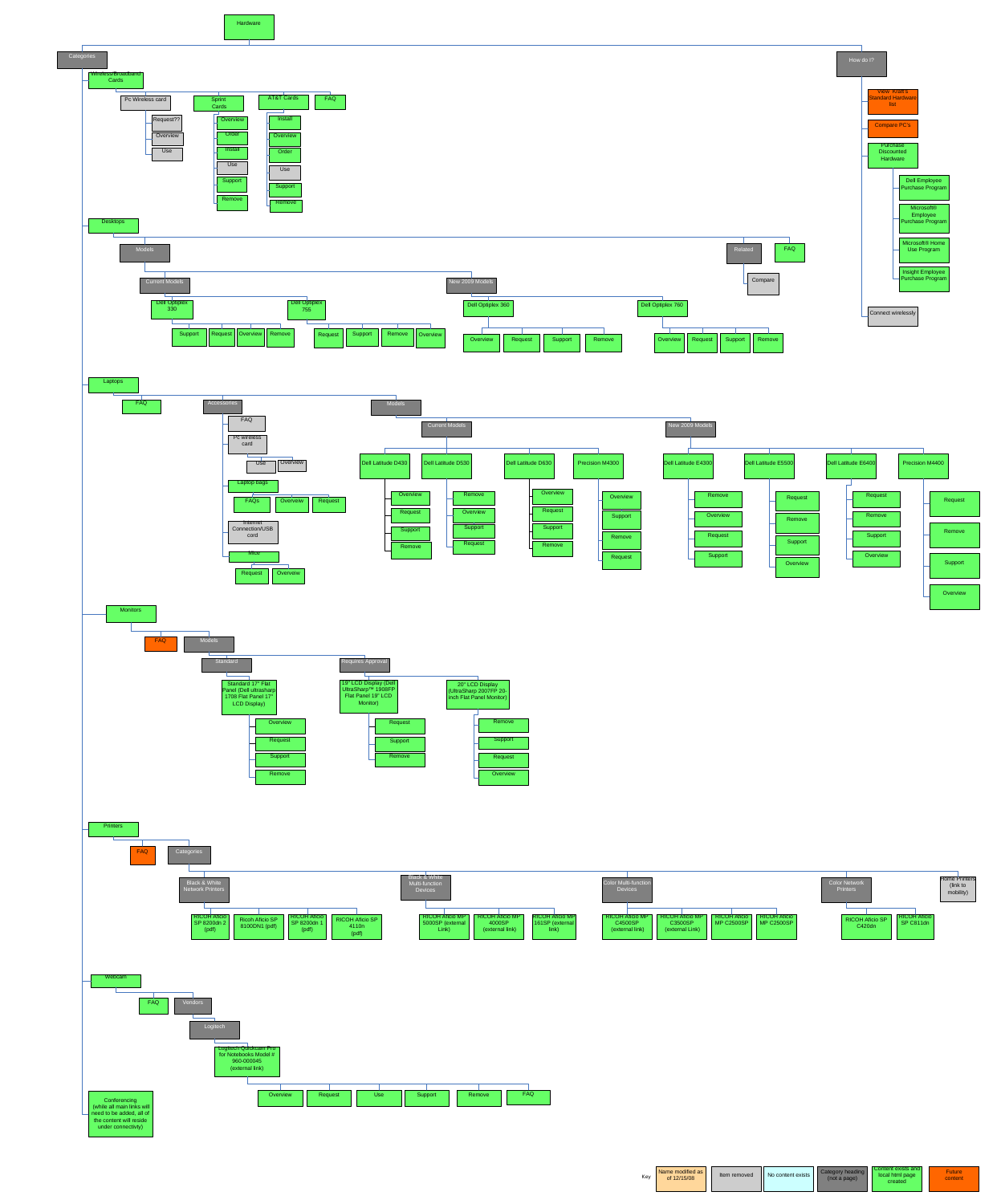







| Kev | Name modified as<br>of 12/15/08 |  | Item removed | No content exists |  | Category heading  <br>(not a page) | Content exists and<br>local html page<br>created | <b>Future</b><br>content |
|-----|---------------------------------|--|--------------|-------------------|--|------------------------------------|--------------------------------------------------|--------------------------|
|-----|---------------------------------|--|--------------|-------------------|--|------------------------------------|--------------------------------------------------|--------------------------|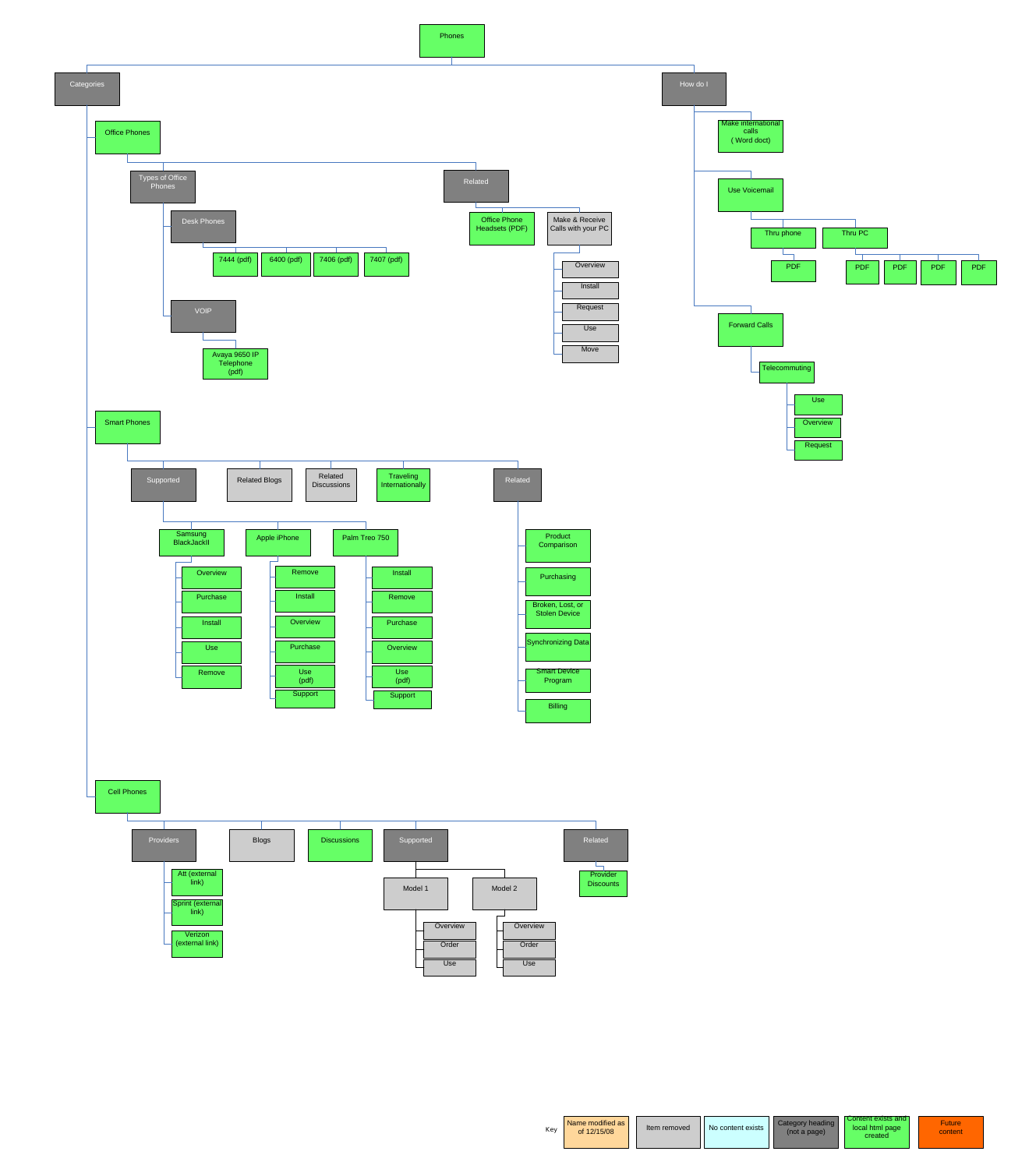Phones





| Kev | Name modified as<br>of 12/15/08 | Item removed | No content exists | Category heading<br>(not a page) | Content exists and I<br>local html page<br>created | <b>Future</b><br>content |
|-----|---------------------------------|--------------|-------------------|----------------------------------|----------------------------------------------------|--------------------------|
|-----|---------------------------------|--------------|-------------------|----------------------------------|----------------------------------------------------|--------------------------|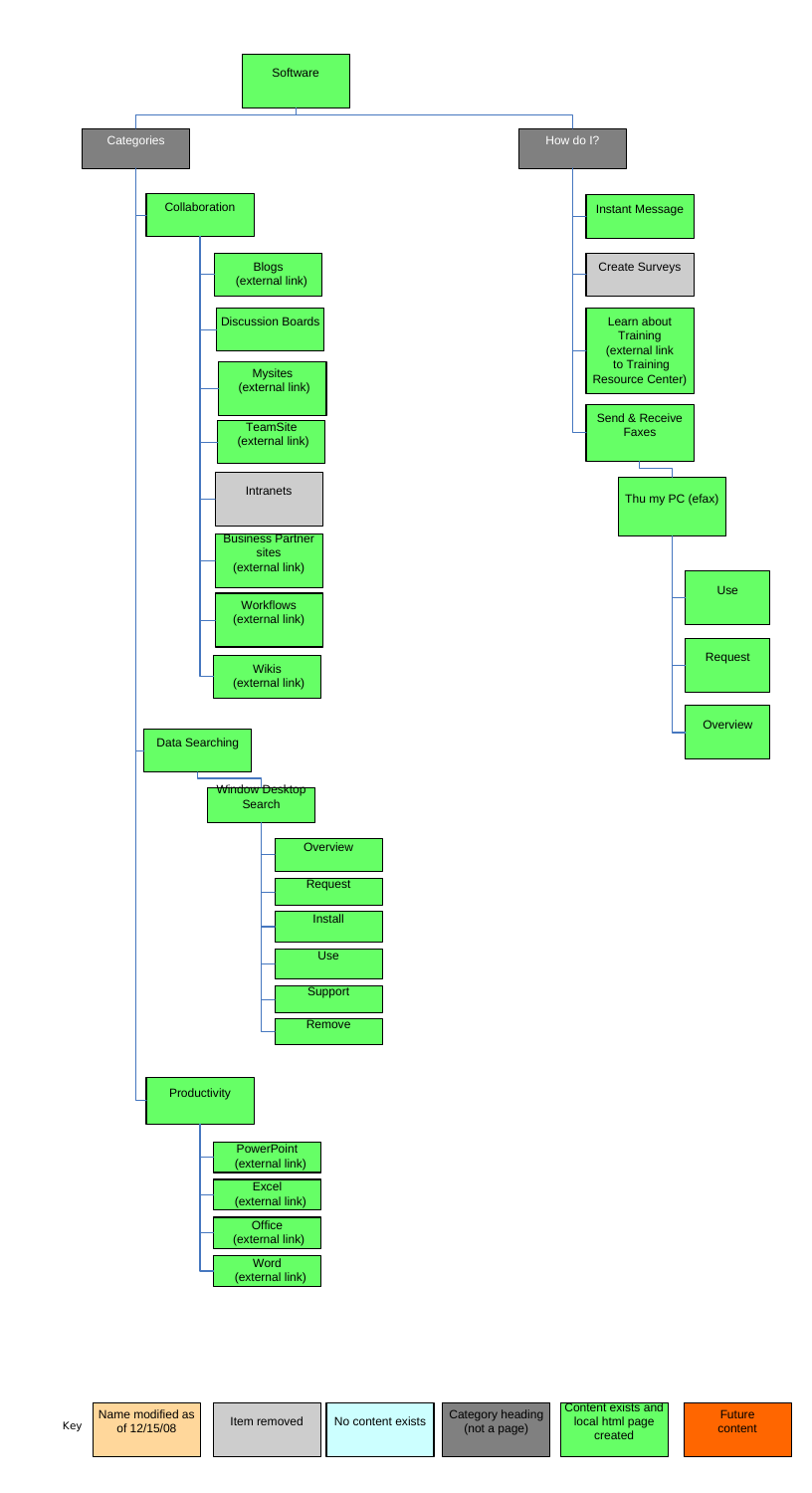